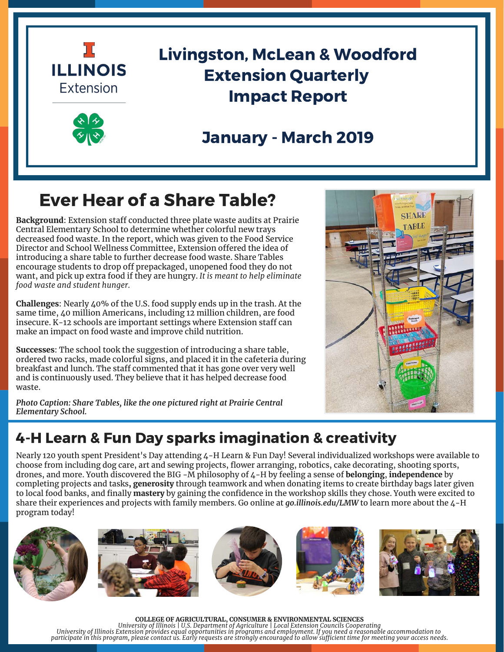



# Livingston, McLean & Woodford Extension Quarterly Impact Report

# January - March 2019

# Ever Hear of a Share Table?

**Background**: Extension staff conducted three plate waste audits at Prairie Central Elementary School to determine whether colorful new trays decreased food waste. In the report, which was given to the Food Service Director and School Wellness Committee, Extension offered the idea of introducing a share table to further decrease food waste. Share Tables encourage students to drop off prepackaged, unopened food they do not want, and pick up extra food if they are hungry. *It is meant to help eliminate food waste and student hunger.*

**Challenges**: Nearly 40% of the U.S. food supply ends up in the trash. At the same time, 40 million Americans, including 12 million children, are food insecure. K-12 schools are important settings where Extension staff can make an impact on food waste and improve child nutrition.

**Successes**: The school took the suggestion of introducing a share table, ordered two racks, made colorful signs, and placed it in the cafeteria during breakfast and lunch. The staff commented that it has gone over very well and is continuously used. They believe that it has helped decrease food waste.

*Photo Caption: Share Tables, like the one pictured right at Prairie Central Elementary School.*



## 4-H Learn & Fun Day sparks imagination & creativity

[Nearly 120 youth spent President's Day attending 4-H Learn & Fun Day! Several individualized workshops were available to](https://web.extension.illinois.edu/lmw/) choose from including dog care, art and sewing projects, flower arranging, robotics, cake decorating, shooting sports, drones, and more. Youth discovered the BIG -M philosophy of 4-H by feeling a sense of **belonging**, **independence** by completing projects and tasks**, generosity** through teamwork and when donating items to create birthday bags later given to local food banks, and finally **mastery** by gaining the confidence in the workshop skills they chose. Youth were excited to share their experiences and projects with family members. Go online at *go.illinois.edu/LMW* to learn more about the 4-H program today!











**COLLEGE OF AGRICULTURAL, CONSUMER & ENVIRONMENTAL SCIENCES** *University of Illinois | U.S. Department of Agriculture | Local Extension Councils Cooperating* . University of Illinois Extension provides equal opportunities in programs and employment. If you need a reasonable accommodation to<br>.participate in this program, please contact us. Early requests are strongly encouraged